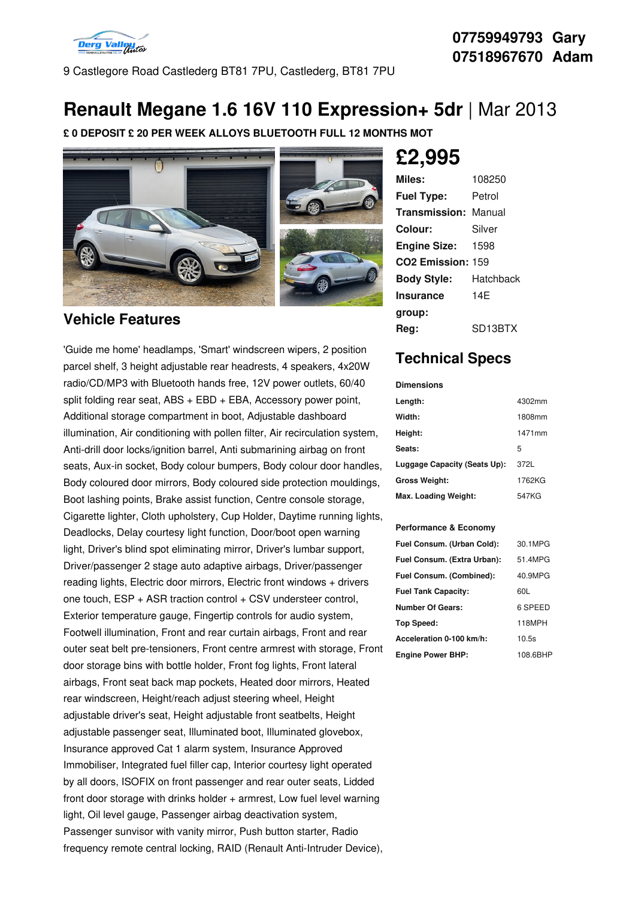

9 Castlegore Road Castlederg BT81 7PU, Castlederg, BT81 7PU

#### **07759949793 Gary 07518967670 Adam**

## **Renault Megane 1.6 16V 110 Expression+ 5dr** |Mar 2013

**£ 0 DEPOSIT £ 20 PER WEEK ALLOYS BLUETOOTH FULL 12 MONTHS MOT**



#### **Vehicle Features**

'Guide me home' headlamps, 'Smart' windscreen wipers, 2 position parcel shelf, 3 height adjustable rear headrests, 4 speakers, 4x20W radio/CD/MP3 with Bluetooth hands free, 12V power outlets, 60/40 split folding rear seat, ABS + EBD + EBA, Accessory power point, Additional storage compartment in boot, Adjustable dashboard illumination, Air conditioning with pollen filter, Air recirculation system, Anti-drill door locks/ignition barrel, Anti submarining airbag on front seats, Aux-in socket, Body colour bumpers, Body colour door handles, Body coloured door mirrors, Body coloured side protection mouldings, Boot lashing points, Brake assist function, Centre console storage, Cigarette lighter, Cloth upholstery, Cup Holder, Daytime running lights, Deadlocks, Delay courtesy light function, Door/boot open warning light, Driver's blind spot eliminating mirror, Driver's lumbar support, Driver/passenger 2 stage auto adaptive airbags, Driver/passenger reading lights, Electric door mirrors, Electric front windows + drivers one touch, ESP + ASR traction control + CSV understeer control, Exterior temperature gauge, Fingertip controls for audio system, Footwell illumination, Front and rear curtain airbags, Front and rear outer seat belt pre-tensioners, Front centre armrest with storage, Front door storage bins with bottle holder, Front fog lights, Front lateral airbags, Front seat back map pockets, Heated door mirrors, Heated rear windscreen, Height/reach adjust steering wheel, Height adjustable driver's seat, Height adjustable front seatbelts, Height adjustable passenger seat, Illuminated boot, Illuminated glovebox, Insurance approved Cat 1 alarm system, Insurance Approved Immobiliser, Integrated fuel filler cap, Interior courtesy light operated by all doors, ISOFIX on front passenger and rear outer seats, Lidded front door storage with drinks holder + armrest, Low fuel level warning light, Oil level gauge, Passenger airbag deactivation system, Passenger sunvisor with vanity mirror, Push button starter, Radio frequency remote central locking, RAID (Renault Anti-Intruder Device),

# **£2,995**

| Miles:                        | 108250               |
|-------------------------------|----------------------|
| <b>Fuel Type:</b>             | Petrol               |
| <b>Transmission: Manual</b>   |                      |
| Colour:                       | Silver               |
| <b>Engine Size:</b>           | 1598                 |
| CO <sub>2</sub> Emission: 159 |                      |
| <b>Body Style:</b>            | Hatchback            |
| <b>Insurance</b>              | 14F                  |
| group:                        |                      |
| Rea:                          | SD <sub>13</sub> BTX |

### **Technical Specs**

#### **Dimensions**

| Length:                      | 4302mm |
|------------------------------|--------|
| Width:                       | 1808mm |
| Height:                      | 1471mm |
| Seats:                       | 5      |
| Luggage Capacity (Seats Up): | 372L   |
| <b>Gross Weight:</b>         | 1762KG |
| Max. Loading Weight:         | 547KG  |

#### **Performance & Economy**

| Fuel Consum. (Urban Cold):  | 30.1MPG  |
|-----------------------------|----------|
| Fuel Consum. (Extra Urban): | 51.4MPG  |
| Fuel Consum. (Combined):    | 40.9MPG  |
| <b>Fuel Tank Capacity:</b>  | 60L      |
| Number Of Gears:            | 6 SPEED  |
| Top Speed:                  | 118MPH   |
| Acceleration 0-100 km/h:    | 10.5s    |
| <b>Engine Power BHP:</b>    | 108.6BHP |